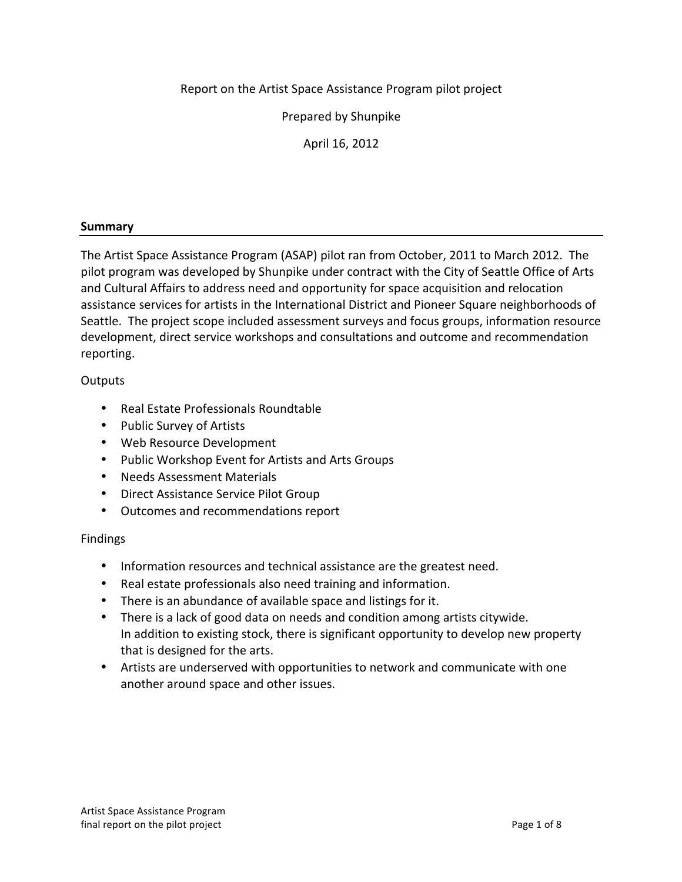Report on the Artist Space Assistance Program pilot project

Prepared by Shunpike

April 16, 2012

# **Summary**

The Artist Space Assistance Program (ASAP) pilot ran from October, 2011 to March 2012. The pilot program was developed by Shunpike under contract with the City of Seattle Office of Arts and Cultural Affairs to address need and opportunity for space acquisition and relocation assistance services for artists in the International District and Pioneer Square neighborhoods of Seattle. The project scope included assessment surveys and focus groups, information resource development, direct service workshops and consultations and outcome and recommendation reporting.

# **Outputs**

- Real Estate Professionals Roundtable
- Public Survey of Artists
- Web Resource Development
- Public Workshop Event for Artists and Arts Groups
- Needs Assessment Materials
- Direct Assistance Service Pilot Group
- Outcomes and recommendations report

# Findings

- Information resources and technical assistance are the greatest need.
- Real estate professionals also need training and information.
- There is an abundance of available space and listings for it.
- There is a lack of good data on needs and condition among artists citywide. In addition to existing stock, there is significant opportunity to develop new property that is designed for the arts.
- Artists are underserved with opportunities to network and communicate with one another around space and other issues.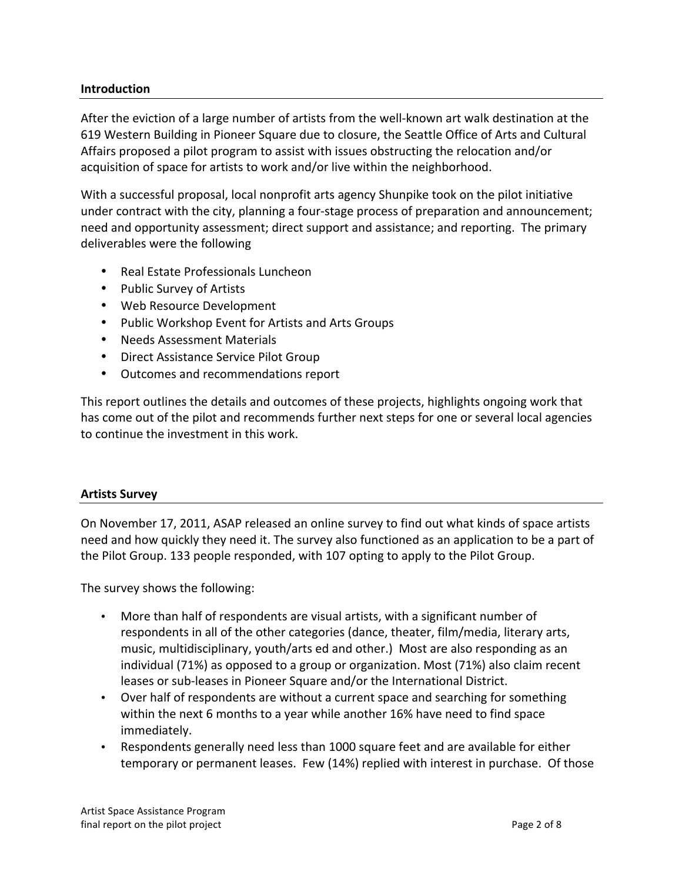### **Introduction**

After the eviction of a large number of artists from the well-known art walk destination at the 619 Western Building in Pioneer Square due to closure, the Seattle Office of Arts and Cultural Affairs proposed a pilot program to assist with issues obstructing the relocation and/or acquisition of space for artists to work and/or live within the neighborhood.

With a successful proposal, local nonprofit arts agency Shunpike took on the pilot initiative under contract with the city, planning a four-stage process of preparation and announcement; need and opportunity assessment; direct support and assistance; and reporting. The primary deliverables were the following

- Real Estate Professionals Luncheon
- Public Survey of Artists
- Web Resource Development
- Public Workshop Event for Artists and Arts Groups
- Needs Assessment Materials
- Direct Assistance Service Pilot Group
- Outcomes and recommendations report

This report outlines the details and outcomes of these projects, highlights ongoing work that has come out of the pilot and recommends further next steps for one or several local agencies to continue the investment in this work.

#### **Artists Survey**

On November 17, 2011, ASAP released an online survey to find out what kinds of space artists need and how quickly they need it. The survey also functioned as an application to be a part of the Pilot Group. 133 people responded, with 107 opting to apply to the Pilot Group.

The survey shows the following:

- More than half of respondents are visual artists, with a significant number of respondents in all of the other categories (dance, theater, film/media, literary arts, music, multidisciplinary, youth/arts ed and other.) Most are also responding as an individual  $(71%)$  as opposed to a group or organization. Most  $(71%)$  also claim recent leases or sub-leases in Pioneer Square and/or the International District.
- Over half of respondents are without a current space and searching for something within the next 6 months to a year while another 16% have need to find space immediately.
- Respondents generally need less than 1000 square feet and are available for either temporary or permanent leases. Few (14%) replied with interest in purchase. Of those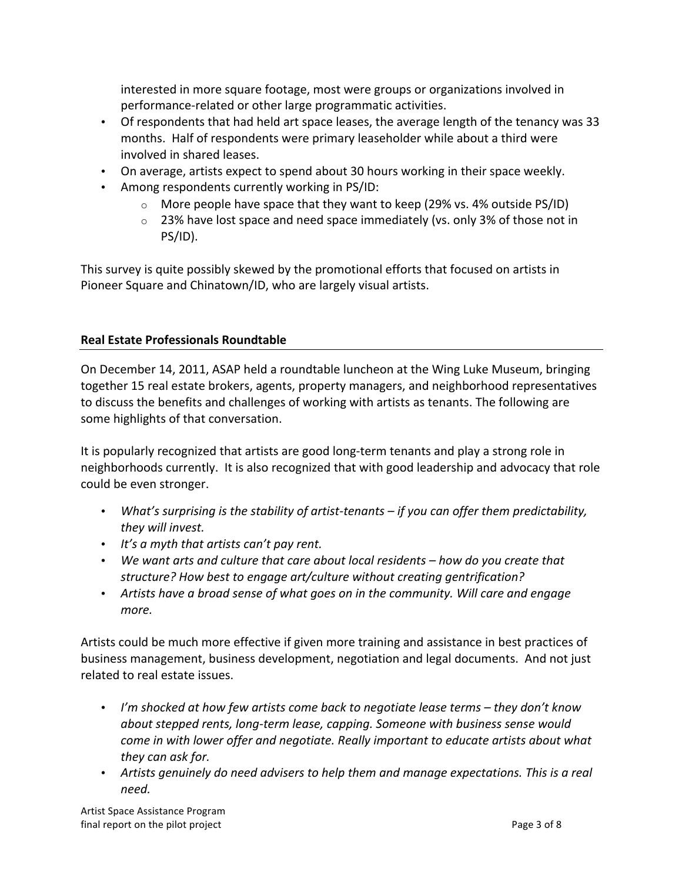interested in more square footage, most were groups or organizations involved in performance-related or other large programmatic activities.

- Of respondents that had held art space leases, the average length of the tenancy was 33 months. Half of respondents were primary leaseholder while about a third were involved in shared leases.
- On average, artists expect to spend about 30 hours working in their space weekly.
- Among respondents currently working in PS/ID:
	- $\circ$  More people have space that they want to keep (29% vs. 4% outside PS/ID)
	- $\circ$  23% have lost space and need space immediately (vs. only 3% of those not in PS/ID).

This survey is quite possibly skewed by the promotional efforts that focused on artists in Pioneer Square and Chinatown/ID, who are largely visual artists.

### **Real Estate Professionals Roundtable**

On December 14, 2011, ASAP held a roundtable luncheon at the Wing Luke Museum, bringing together 15 real estate brokers, agents, property managers, and neighborhood representatives to discuss the benefits and challenges of working with artists as tenants. The following are some highlights of that conversation.

It is popularly recognized that artists are good long-term tenants and play a strong role in neighborhoods currently. It is also recognized that with good leadership and advocacy that role could be even stronger.

- What's surprising is the stability of artist-tenants if you can offer them predictability, *they will invest.*
- It's a myth that artists can't pay rent.
- We want arts and culture that care about local residents how do you create that structure? How best to engage art/culture without creating gentrification?
- Artists have a broad sense of what goes on in the community. Will care and engage *more.*

Artists could be much more effective if given more training and assistance in best practices of business management, business development, negotiation and legal documents. And not just related to real estate issues.

- *I'm shocked at how few artists come back to negotiate lease terms they don't know about stepped rents, long-term lease, capping. Someone with business sense would come in with lower offer and negotiate. Really important to educate artists about what they can ask for.*
- Artists genuinely do need advisers to help them and manage expectations. This is a real *need.*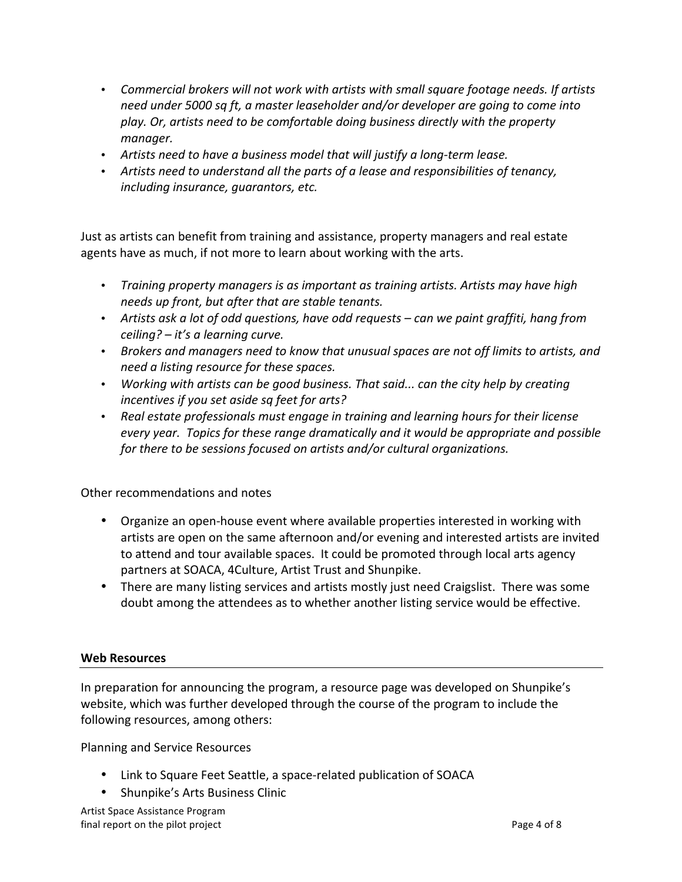- Commercial brokers will not work with artists with small square footage needs. If artists *need under* 5000 sq ft, a master leaseholder and/or developer are going to come into play. Or, artists need to be comfortable doing business directly with the property *manager.*
- Artists need to have a business model that will justify a long-term lease.
- Artists need to understand all the parts of a lease and responsibilities of tenancy, *including insurance, quarantors, etc.*

Just as artists can benefit from training and assistance, property managers and real estate agents have as much, if not more to learn about working with the arts.

- Training property managers is as important as training artists. Artists may have high *needs* up front, but after that are stable tenants.
- Artists ask a lot of odd questions, have odd requests can we paint graffiti, hang from *ceiling?* – *it's a learning curve.*
- Brokers and managers need to know that unusual spaces are not off limits to artists, and *need a listing resource for these spaces.*
- *Working with artists can be good business. That said... can the city help by creating incentives if you set aside sq feet for arts?*
- Real estate professionals must engage in training and learning hours for their license *every* year. Topics for these range dramatically and it would be appropriate and possible *for there to be sessions focused on artists and/or cultural organizations.*

Other recommendations and notes

- Organize an open-house event where available properties interested in working with artists are open on the same afternoon and/or evening and interested artists are invited to attend and tour available spaces. It could be promoted through local arts agency partners at SOACA, 4Culture, Artist Trust and Shunpike.
- There are many listing services and artists mostly just need Craigslist. There was some doubt among the attendees as to whether another listing service would be effective.

#### **Web Resources**

In preparation for announcing the program, a resource page was developed on Shunpike's website, which was further developed through the course of the program to include the following resources, among others:

Planning and Service Resources

- Link to Square Feet Seattle, a space-related publication of SOACA
- Shunpike's Arts Business Clinic

Artist Space Assistance Program final report on the pilot project example of  $\beta$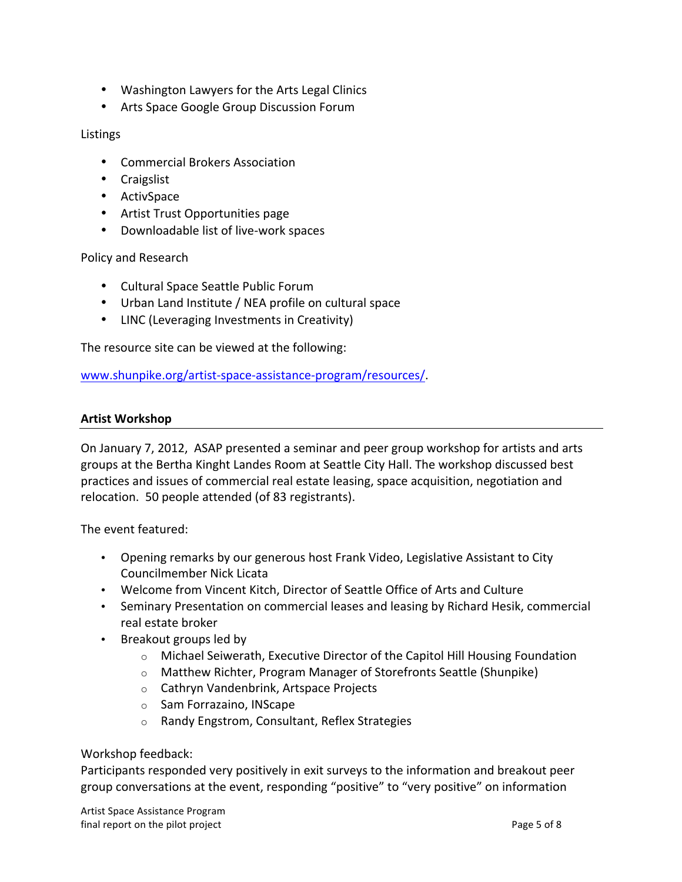- Washington Lawyers for the Arts Legal Clinics
- Arts Space Google Group Discussion Forum

### Listings

- Commercial Brokers Association
- Craigslist
- ActivSpace
- Artist Trust Opportunities page
- Downloadable list of live-work spaces

Policy and Research

- Cultural Space Seattle Public Forum
- Urban Land Institute / NEA profile on cultural space
- LINC (Leveraging Investments in Creativity)

The resource site can be viewed at the following:

www.shunpike.org/artist-space-assistance-program/resources/.

#### **Artist Workshop**

On January 7, 2012, ASAP presented a seminar and peer group workshop for artists and arts groups at the Bertha Kinght Landes Room at Seattle City Hall. The workshop discussed best practices and issues of commercial real estate leasing, space acquisition, negotiation and relocation. 50 people attended (of 83 registrants).

The event featured:

- Opening remarks by our generous host Frank Video, Legislative Assistant to City Councilmember Nick Licata
- Welcome from Vincent Kitch, Director of Seattle Office of Arts and Culture
- Seminary Presentation on commercial leases and leasing by Richard Hesik, commercial real estate broker
- Breakout groups led by
	- o Michael Seiwerath, Executive Director of the Capitol Hill Housing Foundation
	- o Matthew Richter, Program Manager of Storefronts Seattle (Shunpike)
	- $\circ$  Cathryn Vandenbrink, Artspace Projects
	- $\circ$  Sam Forrazaino, INScape
	- o Randy Engstrom, Consultant, Reflex Strategies

#### Workshop feedback:

Participants responded very positively in exit surveys to the information and breakout peer group conversations at the event, responding "positive" to "very positive" on information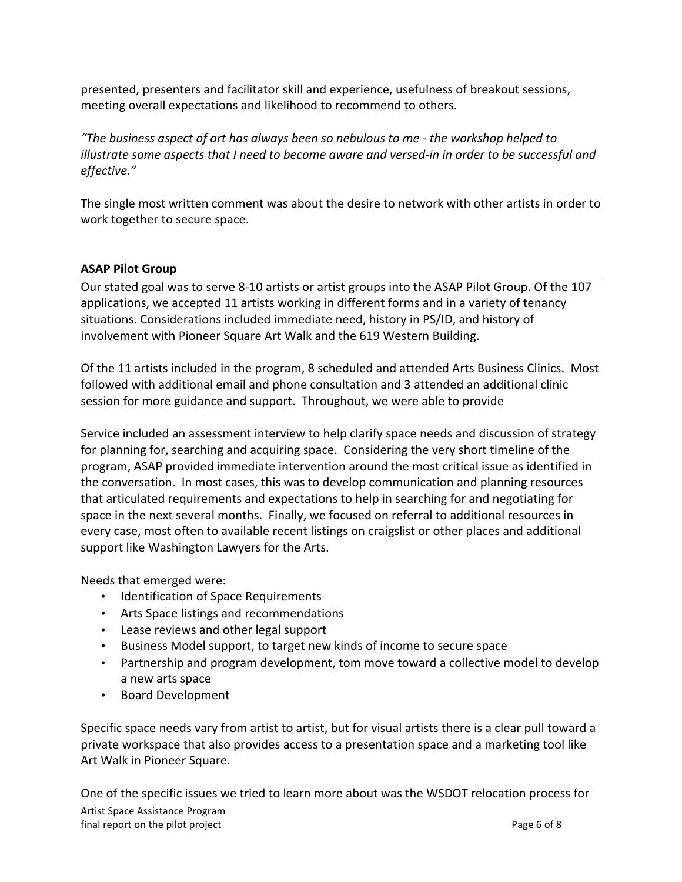presented, presenters and facilitator skill and experience, usefulness of breakout sessions, meeting overall expectations and likelihood to recommend to others.

*"The business aspect of art has always been so nebulous to me - the workshop helped to illustrate some aspects that I need to become aware and versed-in in order to be successful and effective."*

The single most written comment was about the desire to network with other artists in order to work together to secure space.

# **ASAP Pilot Group**

Our stated goal was to serve 8-10 artists or artist groups into the ASAP Pilot Group. Of the 107 applications, we accepted 11 artists working in different forms and in a variety of tenancy situations. Considerations included immediate need, history in PS/ID, and history of involvement with Pioneer Square Art Walk and the 619 Western Building.

Of the 11 artists included in the program, 8 scheduled and attended Arts Business Clinics. Most followed with additional email and phone consultation and 3 attended an additional clinic session for more guidance and support. Throughout, we were able to provide

Service included an assessment interview to help clarify space needs and discussion of strategy for planning for, searching and acquiring space. Considering the very short timeline of the program, ASAP provided immediate intervention around the most critical issue as identified in the conversation. In most cases, this was to develop communication and planning resources that articulated requirements and expectations to help in searching for and negotiating for space in the next several months. Finally, we focused on referral to additional resources in every case, most often to available recent listings on craigslist or other places and additional support like Washington Lawyers for the Arts.

Needs that emerged were:

- Identification of Space Requirements
- Arts Space listings and recommendations
- Lease reviews and other legal support
- Business Model support, to target new kinds of income to secure space
- Partnership and program development, tom move toward a collective model to develop a new arts space
- Board Development

Specific space needs vary from artist to artist, but for visual artists there is a clear pull toward a private workspace that also provides access to a presentation space and a marketing tool like Art Walk in Pioneer Square.

Artist Space Assistance Program final report on the pilot project example of 8 and 7 and 7 and 7 and 7 and 7 and 7 and 7 and 7 and 7 and 7 and 7 and 7 and 7 and 7 and 7 and 7 and 7 and 7 and 7 and 7 and 7 and 7 and 7 and 7 and 7 and 7 and 7 and 7 and 7 a One of the specific issues we tried to learn more about was the WSDOT relocation process for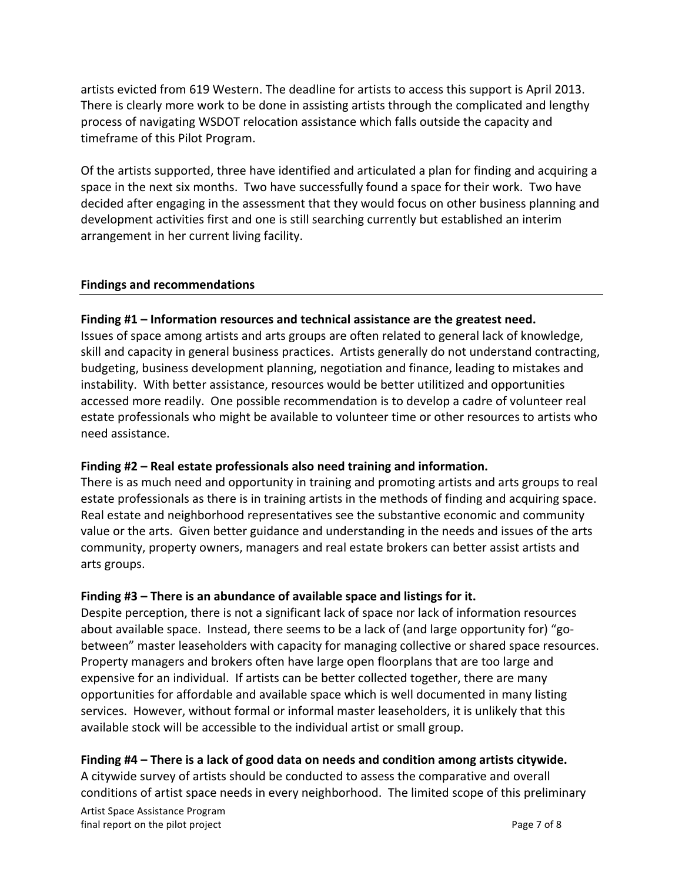artists evicted from 619 Western. The deadline for artists to access this support is April 2013. There is clearly more work to be done in assisting artists through the complicated and lengthy process of navigating WSDOT relocation assistance which falls outside the capacity and timeframe of this Pilot Program.

Of the artists supported, three have identified and articulated a plan for finding and acquiring a space in the next six months. Two have successfully found a space for their work. Two have decided after engaging in the assessment that they would focus on other business planning and development activities first and one is still searching currently but established an interim arrangement in her current living facility.

#### **Findings and recommendations**

### Finding #1 – Information resources and technical assistance are the greatest need.

Issues of space among artists and arts groups are often related to general lack of knowledge, skill and capacity in general business practices. Artists generally do not understand contracting, budgeting, business development planning, negotiation and finance, leading to mistakes and instability. With better assistance, resources would be better utilitized and opportunities accessed more readily. One possible recommendation is to develop a cadre of volunteer real estate professionals who might be available to volunteer time or other resources to artists who need assistance.

# Finding #2 – Real estate professionals also need training and information.

There is as much need and opportunity in training and promoting artists and arts groups to real estate professionals as there is in training artists in the methods of finding and acquiring space. Real estate and neighborhood representatives see the substantive economic and community value or the arts. Given better guidance and understanding in the needs and issues of the arts community, property owners, managers and real estate brokers can better assist artists and arts groups.

# Finding #3 – There is an abundance of available space and listings for it.

Despite perception, there is not a significant lack of space nor lack of information resources about available space. Instead, there seems to be a lack of (and large opportunity for) "gobetween" master leaseholders with capacity for managing collective or shared space resources. Property managers and brokers often have large open floorplans that are too large and expensive for an individual. If artists can be better collected together, there are many opportunities for affordable and available space which is well documented in many listing services. However, without formal or informal master leaseholders, it is unlikely that this available stock will be accessible to the individual artist or small group.

# Finding #4 – There is a lack of good data on needs and condition among artists citywide.

A citywide survey of artists should be conducted to assess the comparative and overall conditions of artist space needs in every neighborhood. The limited scope of this preliminary

Artist Space Assistance Program final report on the pilot project example of  $\beta$  and  $\beta$  of  $\beta$